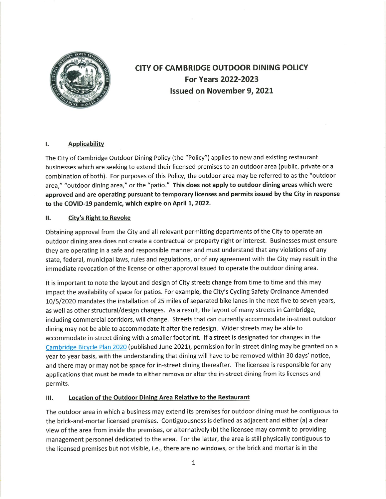

# CITY OF CAMBRIDGE OUTDOOR DINING POLICY For Years 2022-2023 Issued on November 9, 2021

# I. Applicability

The City of Cambridge Outdoor Dining Policy (the "Policy") applies to new and existing restaurant businesses which are seeking to extend their licensed premises to an outdoor area (public, private or a combination of both). For purposes of this Policy, the outdoor area may be referred to as the "outdoor area," "outdoor dining area," or the "patio." This does not apply to outdoor dining areas which were approved and are operating pursuant to temporary licenses and permits issued by the City in response to the COVID-19 pandemic, which expire on April 1, 2022.

# II. City's Right to Revoke

Obtaining approval from the City and ail relevant permitting departments of the City to operate an outdoor dining area does not create a contractual or property right or interest. Businesses must ensure they are operating in a safe and responsible manner and must understand that any violations of any state, federal, municipal laws, rules and regulations, or of any agreement with the City may result in the immediate revocation of the license or other approval issued to operate the outdoor dining area.

It is important to note the layout and design of City streets change from time to time and this may impact the availability of space for patios. For example, the City's Cycling Safety Ordinance Amended 10/5/2020 mandates the installation of 25 miles of separated bike lanes in the next five to seven years, as well as other structural/design changes. As a result, the layout of many streets in Cambridge, including commercial corridors, will change. Streets that can currently accommodate in-street outdoor dining may not be able to accommodate it after the redesign. Wider streets may be able to accommodate in-street dining with a smaller footprint. If a street is designated for changes in the Cambridge Bicycle Plan 2020 (published June 2021), permission for in-street dining may be granted on a year to year basis, with the understanding that dining will have to be removed within 30 days' notice, and there may or may not be space for in-street dining thereafter. The licensee is responsible for any applications that must be made to either remove or alter the in-street dining from its licenses and permits.

# III. Location of the Outdoor Dining Area Relative to the Restaurant

The outdoor area in which a business may extend its premises for outdoor dining must be contiguous to the brick-and-mortar licensed premises. Contiguousness is defined as adjacent and either (a) a clear view of the area from inside the premises, or alternatively (b) the licensee may commit to providing management personnel dedicated to the area. For the latter, the area is still physically contiguous to the licensed premises but not visible, i.e., there are no windows, or the brick and mortar is in the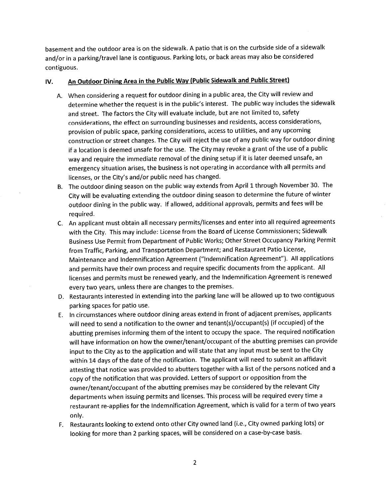basement and the outdoor area is on the sidewalk. A patio that is on the curbside side of a sidewalk and/or in a parking/travel lane is contiguous. Parking lots, or back areas may also be considered contiguous.

### IV. An Outdoor Dining Area in the Public Way (Public Sidewalk and Public Street)

- A. When considering a request for outdoor dining in a public area, the City will review and determine whether the request is in the public's interest. The public way includes the sidewalk and street. The factors the City will evaluate include, but are not limited to, safety considerations, the effect on surrounding businesses and residents, access considerations, provision of public space, parking considerations, access to utilities, and any upcoming construction or street changes. The City will reject the use of any public way for outdoor dining if a location is deemed unsafe for the use. The City may revoke a grant of the use of a public way and require the immediate removal of the dining setup if it is later deemed unsafe, an emergency situation arises, the business is not operating in accordance with all permits and licenses, or the City's and/or public need has changed.
- 8. The outdoor dining season on the public way extends from April 1 through November 30. The City will be evaluating extending the outdoor dining season to determine the future of winter outdoor dining in the public way. If allowed, additional approvals, permits and fees will be required.
- C. An applicant must obtain all necessary permits/Hcenses and enter into all required agreements with the City. This may include: License from the Board of License Commissioners; Sidewalk Business Use Permit from Department of Public Works; Other Street Occupancy Parking Permit from Traffic, Parking, and Transportation Department; and Restaurant Patio License, Maintenance and Indemnification Agreement ("Indemnification Agreement"). All applications and permits have their own process and require specific documents from the applicant. All licenses and permits must be renewed yearly, and the Indemnification Agreement is renewed every two years, unless there are changes to the premises.
- D. Restaurants interested in extending into the parking lane will be allowed up to two contiguous parking spaces for patio use.
- E. In circumstances where outdoor dining areas extend in front of adjacent premises, applicants will need to send a notification to the owner and tenant(s)/occupant(s) (if occupied) of the abutting premises informing them of the intent to occupy the space. The required notification will have information on how the owner/tenant/occupant of the abutting premises can provide input to the City as to the application and will state that any input must be sent to the City within 14 days of the date of the notification. The applicant wili need to submit an affidavit attesting that notice was provided to abutters together with a list of the persons noticed and a copy of the notification that was provided. Letters of support or opposition from the owner/tenant/occupant of the abutting premises may be considered by the relevant City departments when issuing permits and licenses. This process wil! be required every time a restaurant re-applies for the Indemnification Agreement, which is valid for a term of two years only.
- F. Restaurants looking to extend onto other City owned land (i.e.. City owned parking lots) or looking for more than 2 parking spaces, will be considered on a case-by-case basis.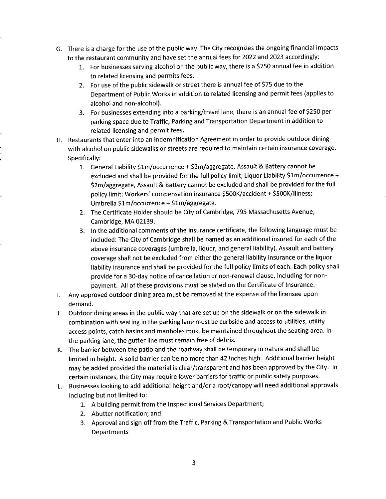- G. There isa charge for the use of the public way. The City recognizes the ongoing financial impacts to the restaurant community and have set the annual fees for 2022 and 2023 accordingly:
	- 1. For businesses serving alcohol on the public way, there is a \$750 annual fee in addition to related licensing and permits fees.
	- 2. For use of the public sidewaik or street there is annual fee of \$75 due to the Department of Public Works in addition to related licensing and permit fees (applies to alcohol and non-alcohol).
	- 3. For businesses extending into a parking/travel lane, there is an annual fee of \$250 per parking space due to Traffic, Parking and Transportation Department in addition to related licensing and permit fees.
- H. Restaurants that enter into an Indemnification Agreement in order to provide outdoor dining with alcohol on public sidewalks or streets are required to maintain certain insurance coverage. Specifically:
	- 1. General Liability \$lm/occurrence + \$2m/aggregate/ Assault & Battery cannot be excluded and shall be provided for the full policy limit; Liquor Liability \$1m/occurrence + \$2m/aggregate. Assault & Battery cannot be excluded and shall be provided for the full policy limit; Workers' compensation insurance \$500K/accident + \$500K/illness; Umbrella \$lm/occurrence + \$lm/aggregate.
	- 2. The Certificate Holder should be City of Cambridge, 795 Massachusetts Avenue, Cambridge, MA 02139.
	- 3. In the additional comments of the insurance certificate, the foliowing language must be included: The City of Cambridge shall be named as an additional insured for each of the above insurance coverages (umbrella, liquor, and general liability). Assault and battery coverage shall not be excluded from either the general liability insurance or the liquor liability insurance and shall be provided for the full policy limits of each. Each policy shall provide for a 30-day notice of cancellation or non-renewal clause, including for nonpayment. All of these provisions must be stated on the Certificate of insurance.
- I. Any approved outdoor dining area must be removed at the expense of the licensee upon demand.
- J. Outdoor dining areas in the public way that are set up on the sidewalk or on the sidewalk in combination with seating in the parking lane must be curbside and access to utilities, utility access points, catch basins and manholes must be maintained throughout the seating area. In the parking lane, the gutter line must remain free of debris.
- K. The barrier between the patio and the roadway shall be temporary in nature and shall be limited in height. A solid barrier can be no more than 42 inches high. Additional barrier height may be added provided the material is clear/transparent and has been approved by the City. In certain instances, the City may require lower barriers for traffic or public safety purposes.
- L. Businesses looking to add additional height and/or a roof/canopy will need additional approvals including but not limited to:
	- 1. A building permit from the Inspectional Services Department;
	- 2. Abutter notification; and
	- 3. Approval and sign-off from the Traffic, Parking & Transportation and Public Works Departments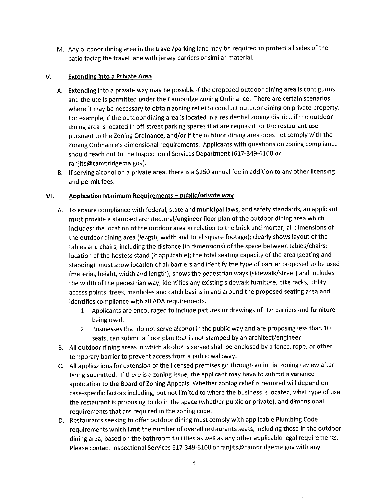M. Any outdoor dining area in the travel/parking lane maybe required to protect all sides of the patio facing the travel lane with jersey barriers or similar material.

#### V. Extending into a Private Area

- A. Extending into a private way may be possible if the proposed outdoor dining area is contiguous and the use is permitted under the Cambridge Zoning Ordinance. There are certain scenarios where it may be necessary to obtain zoning relief to conduct outdoor dining on private property. For example, if the outdoor dining area is located in a residential zoning district, if the outdoor dining area is located in off-street parking spaces that are required for the restaurant use pursuant to the Zoning Ordinance, and/or if the outdoor dining area does not comply with the Zoning Ordinance's dimensional requirements. Applicants with questions on zoning compliance should reach out to the Inspectional Services Department (617-349-6100 or ranjits@cambridgema.gov).
- B. If serving alcohol on a private area, there is a \$250 annual fee in addition to any other licensing and permit fees.

### VI. Application Minimum Requirements - public/private way

- A. To ensure compliance with federal, state and municipal laws, and safety standards, an applicant must provide a stamped architecturai/engineer floor plan of the outdoor dining area which includes: the location of the outdoor area in relation to the brick and mortar; all dimensions of the outdoor dining area (length, width and tota! square footage); dearly shows layout of the tables and chairs, including the distance (in dimensions) of the space between tables/chairs; location of the hostess stand (if applicable); the total seating capacity of the area (seating and standing); must show location of all barriers and identify the type of barrier proposed to be used (material, height, width and length); shows the pedestrian ways (sidewaik/street) and includes the width of the pedestrian way; identifies any existing sidewalk furniture, bike racks, utility access points, trees, manholes and catch basins in and around the proposed seating area and identifies compliance with all ADA requirements.
	- 1. Applicants are encouraged to include pictures or drawings of the barriers and furniture being used.
	- 2. Businesses that do not serve alcohol in the public way and are proposing less than 10 seats, can submit a floor plan that is not stamped by an architect/engineer.
- B. All outdoor dining areas in which alcohol is served shall be enclosed by a fence, rope, or other temporary barrier to prevent access from a public walkway.
- C. All applications for extension of the licensed premises go through an initial zoning review after being submitted. If there is a zoning issue, the applicant may have to submit a variance application to the Board of Zoning Appeals. Whether zoning relief is required will depend on case-specific factors including, but not limited to where the business is located, what type of use the restaurant is proposing to do in the space (whether public or private), and dimensional requirements that are required in the zoning code.
- D. Restaurants seeking to offer outdoor dining must comply with applicable Plumbing Code requirements which limit the number of overall restaurants seats, including those in the outdoor dining area, based on the bathroom facilities as well as any other applicable legal requirements. Please contact Inspectional Services 617-349-6100 or ranjits@cambridgema.gov with any